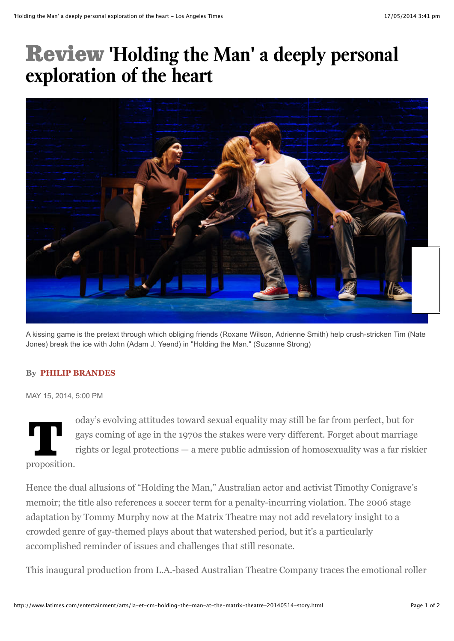## Review **'Holding the Man' a deeply personal exploration of the heart**



A kissing game is the pretext through which obliging friends (Roxane Wilson, Adrienne Smith) help crush-stricken Tim (Nate Jones) break the ice with John (Adam J. Yeend) in "Holding the Man." (Suzanne Strong)

## **By PHILIP BRANDES**

MAY 15, 2014, 5:00 PM

oday's evolving attitudes toward sexual equality may still be far from perfect, but for<br>gays coming of age in the 1970s the stakes were very different. Forget about marriag<br>rights or legal protections — a mere public admis gays coming of age in the 1970s the stakes were very different. Forget about marriage rights or legal protections — a mere public admission of homosexuality was a far riskier proposition.

Hence the dual allusions of "Holding the Man," Australian actor and activist Timothy Conigrave's memoir; the title also references a soccer term for a penalty-incurring violation. The 2006 stage adaptation by Tommy Murphy now at the Matrix Theatre may not add revelatory insight to a crowded genre of gay-themed plays about that watershed period, but it's a particularly accomplished reminder of issues and challenges that still resonate.

This inaugural production from L.A.-based Australian Theatre Company traces the emotional roller